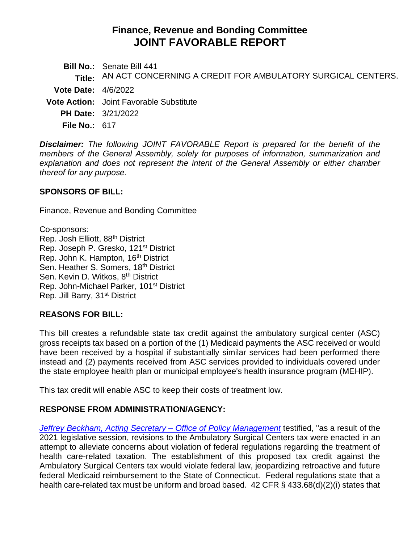# **Finance, Revenue and Bonding Committee JOINT FAVORABLE REPORT**

**Bill No.:** Senate Bill 441 **Title:** AN ACT CONCERNING A CREDIT FOR AMBULATORY SURGICAL CENTERS. **Vote Date:** 4/6/2022 **Vote Action:** Joint Favorable Substitute **PH Date:** 3/21/2022 **File No.:** 617

*Disclaimer: The following JOINT FAVORABLE Report is prepared for the benefit of the members of the General Assembly, solely for purposes of information, summarization and explanation and does not represent the intent of the General Assembly or either chamber thereof for any purpose.*

#### **SPONSORS OF BILL:**

Finance, Revenue and Bonding Committee

Co-sponsors: Rep. Josh Elliott, 88th District Rep. Joseph P. Gresko, 121st District Rep. John K. Hampton, 16th District Sen. Heather S. Somers, 18<sup>th</sup> District Sen. Kevin D. Witkos, 8<sup>th</sup> District Rep. John-Michael Parker, 101<sup>st</sup> District Rep. Jill Barry, 31st District

## **REASONS FOR BILL:**

This bill creates a refundable state tax credit against the ambulatory surgical center (ASC) gross receipts tax based on a portion of the (1) Medicaid payments the ASC received or would have been received by a hospital if substantially similar services had been performed there instead and (2) payments received from ASC services provided to individuals covered under the state employee health plan or municipal employee's health insurance program (MEHIP).

This tax credit will enable ASC to keep their costs of treatment low.

## **RESPONSE FROM ADMINISTRATION/AGENCY:**

*[Jeffrey Beckham, Acting Secretary –](https://cga.ct.gov/2022/FINdata/Tmy/2022SB-00441-R000321-Beckham,%20Jeffrey,%20Acting%20Secretary,%20Office%20of%20Policy%20Management%20-%20Opposed-TMY.PDF) Office of Policy Management* testified, "as a result of the 2021 legislative session, revisions to the Ambulatory Surgical Centers tax were enacted in an attempt to alleviate concerns about violation of federal regulations regarding the treatment of health care-related taxation. The establishment of this proposed tax credit against the Ambulatory Surgical Centers tax would violate federal law, jeopardizing retroactive and future federal Medicaid reimbursement to the State of Connecticut. Federal regulations state that a health care-related tax must be uniform and broad based. 42 CFR § 433.68(d)(2)(i) states that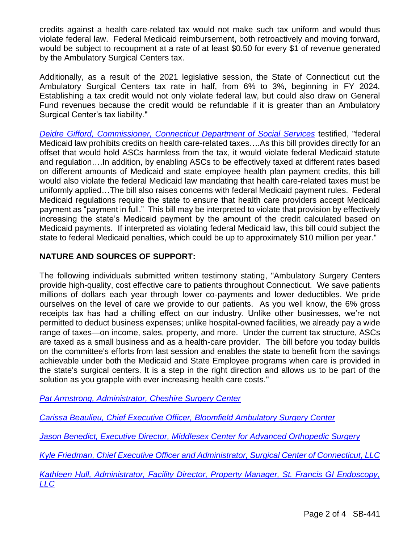credits against a health care-related tax would not make such tax uniform and would thus violate federal law. Federal Medicaid reimbursement, both retroactively and moving forward, would be subject to recoupment at a rate of at least \$0.50 for every \$1 of revenue generated by the Ambulatory Surgical Centers tax.

Additionally, as a result of the 2021 legislative session, the State of Connecticut cut the Ambulatory Surgical Centers tax rate in half, from 6% to 3%, beginning in FY 2024. Establishing a tax credit would not only violate federal law, but could also draw on General Fund revenues because the credit would be refundable if it is greater than an Ambulatory Surgical Center's tax liability."

*[Deidre Gifford, Commissioner, Connecticut Department of Social Services](https://cga.ct.gov/2022/FINdata/Tmy/2022SB-00441-R000321-Gifford,%20Deidre,%20Commissioner,%20Connecticut%20Department%20of%20Social%20Services%20-%20Opposed-TMY.PDF)* testified, "federal Medicaid law prohibits credits on health care-related taxes….As this bill provides directly for an offset that would hold ASCs harmless from the tax, it would violate federal Medicaid statute and regulation….In addition, by enabling ASCs to be effectively taxed at different rates based on different amounts of Medicaid and state employee health plan payment credits, this bill would also violate the federal Medicaid law mandating that health care-related taxes must be uniformly applied…The bill also raises concerns with federal Medicaid payment rules. Federal Medicaid regulations require the state to ensure that health care providers accept Medicaid payment as "payment in full." This bill may be interpreted to violate that provision by effectively increasing the state's Medicaid payment by the amount of the credit calculated based on Medicaid payments. If interpreted as violating federal Medicaid law, this bill could subject the state to federal Medicaid penalties, which could be up to approximately \$10 million per year."

## **NATURE AND SOURCES OF SUPPORT:**

The following individuals submitted written testimony stating, "Ambulatory Surgery Centers provide high-quality, cost effective care to patients throughout Connecticut. We save patients millions of dollars each year through lower co-payments and lower deductibles. We pride ourselves on the level of care we provide to our patients. As you well know, the 6% gross receipts tax has had a chilling effect on our industry. Unlike other businesses, we're not permitted to deduct business expenses; unlike hospital-owned facilities, we already pay a wide range of taxes—on income, sales, property, and more. Under the current tax structure, ASCs are taxed as a small business and as a health-care provider. The bill before you today builds on the committee's efforts from last session and enables the state to benefit from the savings achievable under both the Medicaid and State Employee programs when care is provided in the state's surgical centers. It is a step in the right direction and allows us to be part of the solution as you grapple with ever increasing health care costs."

*[Pat Armstrong, Administrator, Cheshire Surgery Center](https://cga.ct.gov/2022/FINdata/Tmy/2022SB-00441-R000321-Armstrong,%20Pat,%20Administrator,%20Cheshire%20Surgery%20Center%20-%20Support-TMY.PDF)*

*[Carissa Beaulieu, Chief Executive Officer, Bloomfield Ambulatory Surgery Center](https://cga.ct.gov/2022/FINdata/Tmy/2022SB-00441-R000321-Beaulieu,%20Carissa,%20Chief%20Executive%20Officer,%20Bloomfield%20Ambulatory%20Surgery%20Center%20-%20Support-TMY.PDF)*

*[Jason Benedict, Executive Director, Middlesex Center for Advanced Orthopedic Surgery](https://cga.ct.gov/2022/FINdata/Tmy/2022SB-00441-R000321-Benedict,%20Jason,%20Executive%20Director,%20Middlesex%20Center%20for%20Advanced%20Orthopedic%20Surgery%20-%20Support-TMY.PDF)*

*[Kyle Friedman, Chief Executive Officer and Administrator, Surgical Center of Connecticut, LLC](https://cga.ct.gov/2022/FINdata/Tmy/2022SB-00441-R000321-Friedman,%20Kyle,%20Chief%20Executive%20Officer%20and%20Administrator,%20Surgical%20Center%20of%20Connecticut,%20LLC%20-%20Support-TMY.PDF)*

*[Kathleen Hull, Administrator, Facility Director, Property Manager, St. Francis GI Endoscopy,](https://cga.ct.gov/2022/FINdata/Tmy/2022SB-00441-R000321-Hull,%20Kathleen,%20Administrator,%20Facility%20Director,%20Property%20Manager,%20St.%20Francis%20GI%20Endoscopy,%20LLC%20-%20Support-TMY.PDF)  [LLC](https://cga.ct.gov/2022/FINdata/Tmy/2022SB-00441-R000321-Hull,%20Kathleen,%20Administrator,%20Facility%20Director,%20Property%20Manager,%20St.%20Francis%20GI%20Endoscopy,%20LLC%20-%20Support-TMY.PDF)*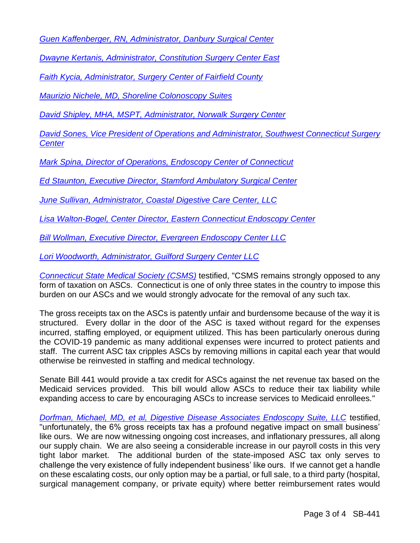*[Guen Kaffenberger, RN, Administrator, Danbury Surgical Center](https://cga.ct.gov/2022/FINdata/Tmy/2022SB-00441-R000321-Kaffenberger,%20Guen,%20RN,%20Administrator,%20Danbury%20Surgical%20Center%20-%20Support-TMY.PDF)*

*[Dwayne Kertanis, Administrator, Constitution Surgery Center East](https://cga.ct.gov/2022/FINdata/Tmy/2022SB-00441-R000321-Kertanis,%20Dwayne,%20Administrator,%20Constitution%20Surgery%20Center%20East%20-%20Support-TMY.PDF)*

*[Faith Kycia, Administrator, Surgery Center of Fairfield County](https://cga.ct.gov/2022/FINdata/Tmy/2022SB-00441-R000321-Kycia,%20Faith,%20Administrator,%20Surgery%20Center%20of%20Fairfield%20County%20-%20Support-TMY.PDF)*

*[Maurizio Nichele, MD, Shoreline Colonoscopy Suites](https://cga.ct.gov/2022/FINdata/Tmy/2022SB-00441-R000321-Nichele,%20Maurizio,%20MD,%20Shoreline%20Colonoscopy%20Suites%20-%20Support-TMY.PDF)*

*[David Shipley, MHA, MSPT, Administrator, Norwalk Surgery Center](https://cga.ct.gov/2022/FINdata/Tmy/2022SB-00441-R000321-Shipley,%20David,%20MHA,%20MSPT,%20Administrator,%20Norwalk%20Surgery%20Center%20-%20Support-TMY.PDF)*

*[David Sones, Vice President of Operations and Administrator, Southwest Connecticut Surgery](https://cga.ct.gov/2022/FINdata/Tmy/2022SB-00441-R000321-Sones,%20David,%20Vice%20President%20of%20Operations%20and%20Administrator,%20Southwest%20Connecticut%20Surgery%20Center%20-%20Support-TMY.PDF)  [Center](https://cga.ct.gov/2022/FINdata/Tmy/2022SB-00441-R000321-Sones,%20David,%20Vice%20President%20of%20Operations%20and%20Administrator,%20Southwest%20Connecticut%20Surgery%20Center%20-%20Support-TMY.PDF)*

*[Mark Spina, Director of Operations, Endoscopy Center of Connecticut](https://cga.ct.gov/2022/FINdata/Tmy/2022SB-00441-R000321-Spina,%20Mark,%20Director%20of%20Operations,%20Endoscopy%20Center%20of%20Connecticut%20-%20Support-TMY.PDF)*

*[Ed Staunton, Executive Director, Stamford Ambulatory Surgical Center](https://cga.ct.gov/2022/FINdata/Tmy/2022SB-00441-R000321-Staunton,%20Ed,%20Executive%20Director,%20Stamford%20Ambulatory%20Surgical%20Center%20-%20Support-TMY.PDF)*

*[June Sullivan, Administrator, Coastal Digestive Care Center, LLC](https://cga.ct.gov/2022/FINdata/Tmy/2022SB-00441-R000321-Sullivan,%20June,%20Administrator,%20Coastal%20Digestive%20Care%20Center,%20LLC%20-%20Support-TMY.PDF)*

*[Lisa Walton-Bogel, Center Director, Eastern Connecticut Endoscopy Center](https://cga.ct.gov/2022/FINdata/Tmy/2022SB-00441-R000321-Walton-Bogel,%20Lisa,%20Center%20Director,%20Eastern%20Connecticut%20Endoscopy%20Center%20-%20Support-TMY.PDF)*

*[Bill Wollman, Executive Director, Evergreen Endoscopy Center LLC](https://cga.ct.gov/2022/FINdata/Tmy/2022SB-00441-R000321-Wollman,%20Bill,%20Executive%20Director,%20Evergreen%20Endoscopy%20Center%20LLC%20-%20Support-TMY.PDF)*

*[Lori Woodworth, Administrator, Guilford Surgery Center LLC](https://cga.ct.gov/2022/FINdata/Tmy/2022SB-00441-R000321-Woodworth,%20Lori,%20Administrator,%20Guilford%20Surgery%20Center%20LLC%20-%20Support-TMY.PDF)*

*[Connecticut State Medical Society](https://cga.ct.gov/2022/FINdata/Tmy/2022SB-00441-R000321-Connecticut%20State%20Medical%20Society%20-%20Support-TMY.PDF) (CSMS)* testified, "CSMS remains strongly opposed to any form of taxation on ASCs. Connecticut is one of only three states in the country to impose this burden on our ASCs and we would strongly advocate for the removal of any such tax.

The gross receipts tax on the ASCs is patently unfair and burdensome because of the way it is structured. Every dollar in the door of the ASC is taxed without regard for the expenses incurred, staffing employed, or equipment utilized. This has been particularly onerous during the COVID-19 pandemic as many additional expenses were incurred to protect patients and staff. The current ASC tax cripples ASCs by removing millions in capital each year that would otherwise be reinvested in staffing and medical technology.

Senate Bill 441 would provide a tax credit for ASCs against the net revenue tax based on the Medicaid services provided. This bill would allow ASCs to reduce their tax liability while expanding access to care by encouraging ASCs to increase services to Medicaid enrollees."

*[Dorfman, Michael, MD, et al, Digestive Disease Associates Endoscopy Suite, LLC](https://cga.ct.gov/2022/FINdata/Tmy/2022SB-00441-R000321-Dorfman,%20Michael,%20MD,%20et%20al,%20Digestive%20Disease%20Associates%20Endoscopy%20Suite,%20LLC%20-%20Support-TMY.PDF)* testified, "unfortunately, the 6% gross receipts tax has a profound negative impact on small business' like ours. We are now witnessing ongoing cost increases, and inflationary pressures, all along our supply chain. We are also seeing a considerable increase in our payroll costs in this very tight labor market. The additional burden of the state-imposed ASC tax only serves to challenge the very existence of fully independent business' like ours. If we cannot get a handle on these escalating costs, our only option may be a partial, or full sale, to a third party (hospital, surgical management company, or private equity) where better reimbursement rates would